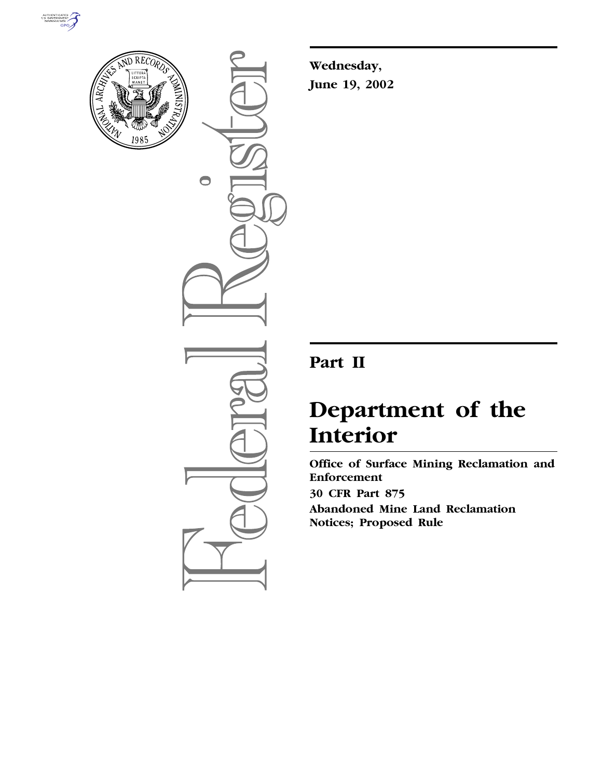



 $\bigcirc$ 

**Wednesday, June 19, 2002**

# **Part II**

# **Department of the Interior**

**Office of Surface Mining Reclamation and Enforcement 30 CFR Part 875 Abandoned Mine Land Reclamation Notices; Proposed Rule**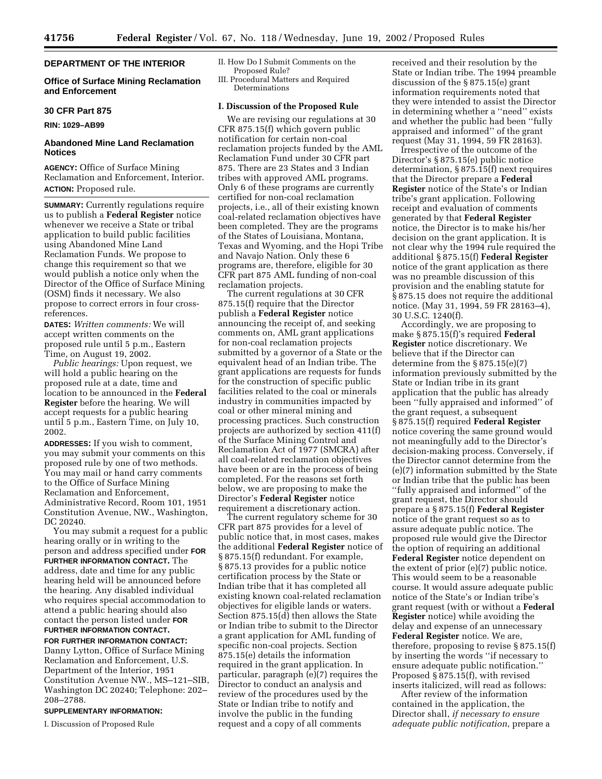# **DEPARTMENT OF THE INTERIOR**

#### **Office of Surface Mining Reclamation and Enforcement**

# **30 CFR Part 875**

#### **RIN: 1029–AB99**

#### **Abandoned Mine Land Reclamation Notices**

**AGENCY:** Office of Surface Mining Reclamation and Enforcement, Interior. **ACTION:** Proposed rule.

**SUMMARY:** Currently regulations require us to publish a **Federal Register** notice whenever we receive a State or tribal application to build public facilities using Abandoned Mine Land Reclamation Funds. We propose to change this requirement so that we would publish a notice only when the Director of the Office of Surface Mining (OSM) finds it necessary. We also propose to correct errors in four crossreferences.

**DATES:** *Written comments:* We will accept written comments on the proposed rule until 5 p.m., Eastern Time, on August 19, 2002.

*Public hearings:* Upon request, we will hold a public hearing on the proposed rule at a date, time and location to be announced in the **Federal Register** before the hearing. We will accept requests for a public hearing until 5 p.m., Eastern Time, on July 10, 2002.

**ADDRESSES:** If you wish to comment, you may submit your comments on this proposed rule by one of two methods. You may mail or hand carry comments to the Office of Surface Mining Reclamation and Enforcement, Administrative Record, Room 101, 1951 Constitution Avenue, NW., Washington, DC 20240.

You may submit a request for a public hearing orally or in writing to the person and address specified under **FOR FURTHER INFORMATION CONTACT.** The address, date and time for any public hearing held will be announced before the hearing. Any disabled individual who requires special accommodation to attend a public hearing should also contact the person listed under **FOR FURTHER INFORMATION CONTACT.**

**FOR FURTHER INFORMATION CONTACT:** Danny Lytton, Office of Surface Mining Reclamation and Enforcement, U.S. Department of the Interior, 1951 Constitution Avenue NW., MS–121–SIB, Washington DC 20240; Telephone: 202– 208–2788.

#### **SUPPLEMENTARY INFORMATION:**

I. Discussion of Proposed Rule

- II. How Do I Submit Comments on the Proposed Rule?
- III. Procedural Matters and Required Determinations

# **I. Discussion of the Proposed Rule**

We are revising our regulations at 30 CFR 875.15(f) which govern public notification for certain non-coal reclamation projects funded by the AML Reclamation Fund under 30 CFR part 875. There are 23 States and 3 Indian tribes with approved AML programs. Only 6 of these programs are currently certified for non-coal reclamation projects, i.e., all of their existing known coal-related reclamation objectives have been completed. They are the programs of the States of Louisiana, Montana, Texas and Wyoming, and the Hopi Tribe and Navajo Nation. Only these 6 programs are, therefore, eligible for 30 CFR part 875 AML funding of non-coal reclamation projects.

The current regulations at 30 CFR 875.15(f) require that the Director publish a **Federal Register** notice announcing the receipt of, and seeking comments on, AML grant applications for non-coal reclamation projects submitted by a governor of a State or the equivalent head of an Indian tribe. The grant applications are requests for funds for the construction of specific public facilities related to the coal or minerals industry in communities impacted by coal or other mineral mining and processing practices. Such construction projects are authorized by section 411(f) of the Surface Mining Control and Reclamation Act of 1977 (SMCRA) after all coal-related reclamation objectives have been or are in the process of being completed. For the reasons set forth below, we are proposing to make the Director's **Federal Register** notice requirement a discretionary action.

The current regulatory scheme for 30 CFR part 875 provides for a level of public notice that, in most cases, makes the additional **Federal Register** notice of § 875.15(f) redundant. For example, § 875.13 provides for a public notice certification process by the State or Indian tribe that it has completed all existing known coal-related reclamation objectives for eligible lands or waters. Section 875.15(d) then allows the State or Indian tribe to submit to the Director a grant application for AML funding of specific non-coal projects. Section 875.15(e) details the information required in the grant application. In particular, paragraph (e)(7) requires the Director to conduct an analysis and review of the procedures used by the State or Indian tribe to notify and involve the public in the funding request and a copy of all comments

received and their resolution by the State or Indian tribe. The 1994 preamble discussion of the § 875.15(e) grant information requirements noted that they were intended to assist the Director in determining whether a ''need'' exists and whether the public had been ''fully appraised and informed'' of the grant request (May 31, 1994, 59 FR 28163).

Irrespective of the outcome of the Director's § 875.15(e) public notice determination, § 875.15(f) next requires that the Director prepare a **Federal Register** notice of the State's or Indian tribe's grant application. Following receipt and evaluation of comments generated by that **Federal Register** notice, the Director is to make his/her decision on the grant application. It is not clear why the 1994 rule required the additional § 875.15(f) **Federal Register** notice of the grant application as there was no preamble discussion of this provision and the enabling statute for § 875.15 does not require the additional notice. (May 31, 1994, 59 FR 28163–4), 30 U.S.C. 1240(f).

Accordingly, we are proposing to make § 875.15(f)'s required **Federal Register** notice discretionary. We believe that if the Director can determine from the § 875.15(e)(7) information previously submitted by the State or Indian tribe in its grant application that the public has already been ''fully appraised and informed'' of the grant request, a subsequent § 875.15(f) required **Federal Register** notice covering the same ground would not meaningfully add to the Director's decision-making process. Conversely, if the Director cannot determine from the (e)(7) information submitted by the State or Indian tribe that the public has been ''fully appraised and informed'' of the grant request, the Director should prepare a § 875.15(f) **Federal Register** notice of the grant request so as to assure adequate public notice. The proposed rule would give the Director the option of requiring an additional **Federal Register** notice dependent on the extent of prior (e)(7) public notice. This would seem to be a reasonable course. It would assure adequate public notice of the State's or Indian tribe's grant request (with or without a **Federal Register** notice) while avoiding the delay and expense of an unnecessary **Federal Register** notice. We are, therefore, proposing to revise § 875.15(f) by inserting the words ''if necessary to ensure adequate public notification.'' Proposed § 875.15(f), with revised inserts italicized, will read as follows:

After review of the information contained in the application, the Director shall, *if necessary to ensure adequate public notification*, prepare a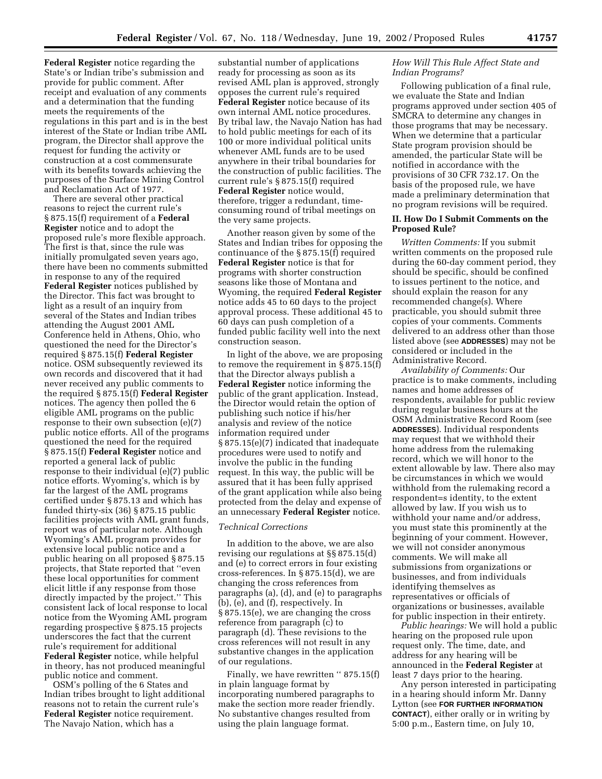**Federal Register** notice regarding the State's or Indian tribe's submission and provide for public comment. After receipt and evaluation of any comments and a determination that the funding meets the requirements of the regulations in this part and is in the best interest of the State or Indian tribe AML program, the Director shall approve the request for funding the activity or construction at a cost commensurate with its benefits towards achieving the purposes of the Surface Mining Control and Reclamation Act of 1977.

There are several other practical reasons to reject the current rule's § 875.15(f) requirement of a **Federal Register** notice and to adopt the proposed rule's more flexible approach. The first is that, since the rule was initially promulgated seven years ago, there have been no comments submitted in response to any of the required **Federal Register** notices published by the Director. This fact was brought to light as a result of an inquiry from several of the States and Indian tribes attending the August 2001 AML Conference held in Athens, Ohio, who questioned the need for the Director's required § 875.15(f) **Federal Register** notice. OSM subsequently reviewed its own records and discovered that it had never received any public comments to the required § 875.15(f) **Federal Register** notices. The agency then polled the 6 eligible AML programs on the public response to their own subsection (e)(7) public notice efforts. All of the programs questioned the need for the required § 875.15(f) **Federal Register** notice and reported a general lack of public response to their individual (e)(7) public notice efforts. Wyoming's, which is by far the largest of the AML programs certified under § 875.13 and which has funded thirty-six (36) § 875.15 public facilities projects with AML grant funds, report was of particular note. Although Wyoming's AML program provides for extensive local public notice and a public hearing on all proposed § 875.15 projects, that State reported that ''even these local opportunities for comment elicit little if any response from those directly impacted by the project.'' This consistent lack of local response to local notice from the Wyoming AML program regarding prospective § 875.15 projects underscores the fact that the current rule's requirement for additional **Federal Register** notice, while helpful in theory, has not produced meaningful public notice and comment.

OSM's polling of the 6 States and Indian tribes brought to light additional reasons not to retain the current rule's **Federal Register** notice requirement. The Navajo Nation, which has a

substantial number of applications ready for processing as soon as its revised AML plan is approved, strongly opposes the current rule's required **Federal Register** notice because of its own internal AML notice procedures. By tribal law, the Navajo Nation has had to hold public meetings for each of its 100 or more individual political units whenever AML funds are to be used anywhere in their tribal boundaries for the construction of public facilities. The current rule's § 875.15(f) required **Federal Register** notice would, therefore, trigger a redundant, timeconsuming round of tribal meetings on the very same projects.

Another reason given by some of the States and Indian tribes for opposing the continuance of the § 875.15(f) required **Federal Register** notice is that for programs with shorter construction seasons like those of Montana and Wyoming, the required **Federal Register** notice adds 45 to 60 days to the project approval process. These additional 45 to 60 days can push completion of a funded public facility well into the next construction season.

In light of the above, we are proposing to remove the requirement in § 875.15(f) that the Director always publish a **Federal Register** notice informing the public of the grant application. Instead, the Director would retain the option of publishing such notice if his/her analysis and review of the notice information required under § 875.15(e)(7) indicated that inadequate procedures were used to notify and involve the public in the funding request. In this way, the public will be assured that it has been fully apprised of the grant application while also being protected from the delay and expense of an unnecessary **Federal Register** notice.

#### *Technical Corrections*

In addition to the above, we are also revising our regulations at §§ 875.15(d) and (e) to correct errors in four existing cross-references. In § 875.15(d), we are changing the cross references from paragraphs (a), (d), and (e) to paragraphs (b), (e), and (f), respectively. In § 875.15(e), we are changing the cross reference from paragraph (c) to paragraph (d). These revisions to the cross references will not result in any substantive changes in the application of our regulations.

Finally, we have rewritten "875.15(f) in plain language format by incorporating numbered paragraphs to make the section more reader friendly. No substantive changes resulted from using the plain language format.

#### *How Will This Rule Affect State and Indian Programs?*

Following publication of a final rule, we evaluate the State and Indian programs approved under section 405 of SMCRA to determine any changes in those programs that may be necessary. When we determine that a particular State program provision should be amended, the particular State will be notified in accordance with the provisions of 30 CFR 732.17. On the basis of the proposed rule, we have made a preliminary determination that no program revisions will be required.

#### **II. How Do I Submit Comments on the Proposed Rule?**

*Written Comments:* If you submit written comments on the proposed rule during the 60-day comment period, they should be specific, should be confined to issues pertinent to the notice, and should explain the reason for any recommended change(s). Where practicable, you should submit three copies of your comments. Comments delivered to an address other than those listed above (see **ADDRESSES**) may not be considered or included in the Administrative Record.

*Availability of Comments:* Our practice is to make comments, including names and home addresses of respondents, available for public review during regular business hours at the OSM Administrative Record Room (see **ADDRESSES**). Individual respondents may request that we withhold their home address from the rulemaking record, which we will honor to the extent allowable by law. There also may be circumstances in which we would withhold from the rulemaking record a respondent=s identity, to the extent allowed by law. If you wish us to withhold your name and/or address, you must state this prominently at the beginning of your comment. However, we will not consider anonymous comments. We will make all submissions from organizations or businesses, and from individuals identifying themselves as representatives or officials of organizations or businesses, available for public inspection in their entirety.

*Public hearings:* We will hold a public hearing on the proposed rule upon request only. The time, date, and address for any hearing will be announced in the **Federal Register** at least 7 days prior to the hearing.

Any person interested in participating in a hearing should inform Mr. Danny Lytton (see **FOR FURTHER INFORMATION CONTACT**), either orally or in writing by 5:00 p.m., Eastern time, on July 10,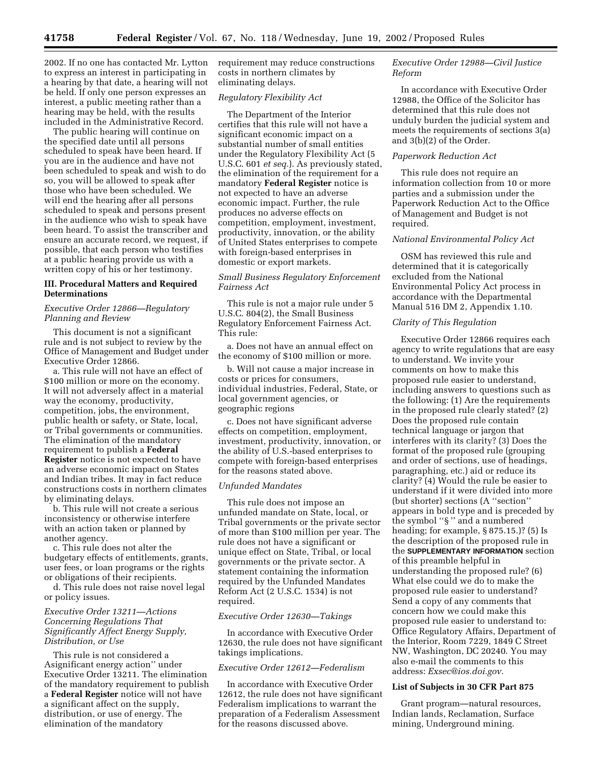2002. If no one has contacted Mr. Lytton to express an interest in participating in a hearing by that date, a hearing will not be held. If only one person expresses an interest, a public meeting rather than a hearing may be held, with the results included in the Administrative Record.

The public hearing will continue on the specified date until all persons scheduled to speak have been heard. If you are in the audience and have not been scheduled to speak and wish to do so, you will be allowed to speak after those who have been scheduled. We will end the hearing after all persons scheduled to speak and persons present in the audience who wish to speak have been heard. To assist the transcriber and ensure an accurate record, we request, if possible, that each person who testifies at a public hearing provide us with a written copy of his or her testimony.

## **III. Procedural Matters and Required Determinations**

#### *Executive Order 12866—Regulatory Planning and Review*

This document is not a significant rule and is not subject to review by the Office of Management and Budget under Executive Order 12866.

a. This rule will not have an effect of \$100 million or more on the economy. It will not adversely affect in a material way the economy, productivity, competition, jobs, the environment, public health or safety, or State, local, or Tribal governments or communities. The elimination of the mandatory requirement to publish a **Federal Register** notice is not expected to have an adverse economic impact on States and Indian tribes. It may in fact reduce constructions costs in northern climates by eliminating delays.

b. This rule will not create a serious inconsistency or otherwise interfere with an action taken or planned by another agency.

c. This rule does not alter the budgetary effects of entitlements, grants, user fees, or loan programs or the rights or obligations of their recipients. d. This rule does not raise novel legal

or policy issues.

# *Executive Order 13211—Actions Concerning Regulations That Significantly Affect Energy Supply, Distribution, or Use*

This rule is not considered a Asignificant energy action'' under Executive Order 13211. The elimination of the mandatory requirement to publish a **Federal Register** notice will not have a significant affect on the supply, distribution, or use of energy. The elimination of the mandatory

requirement may reduce constructions costs in northern climates by eliminating delays.

# *Regulatory Flexibility Act*

The Department of the Interior certifies that this rule will not have a significant economic impact on a substantial number of small entities under the Regulatory Flexibility Act (5 U.S.C. 601 *et seq.*). As previously stated, the elimination of the requirement for a mandatory **Federal Register** notice is not expected to have an adverse economic impact. Further, the rule produces no adverse effects on competition, employment, investment, productivity, innovation, or the ability of United States enterprises to compete with foreign-based enterprises in domestic or export markets.

#### *Small Business Regulatory Enforcement Fairness Act*

This rule is not a major rule under 5 U.S.C. 804(2), the Small Business Regulatory Enforcement Fairness Act. This rule:

a. Does not have an annual effect on the economy of \$100 million or more.

b. Will not cause a major increase in costs or prices for consumers, individual industries, Federal, State, or local government agencies, or geographic regions

c. Does not have significant adverse effects on competition, employment, investment, productivity, innovation, or the ability of U.S.-based enterprises to compete with foreign-based enterprises for the reasons stated above.

#### *Unfunded Mandates*

This rule does not impose an unfunded mandate on State, local, or Tribal governments or the private sector of more than \$100 million per year. The rule does not have a significant or unique effect on State, Tribal, or local governments or the private sector. A statement containing the information required by the Unfunded Mandates Reform Act (2 U.S.C. 1534) is not required.

#### *Executive Order 12630—Takings*

In accordance with Executive Order 12630, the rule does not have significant takings implications.

## *Executive Order 12612—Federalism*

In accordance with Executive Order 12612, the rule does not have significant Federalism implications to warrant the preparation of a Federalism Assessment for the reasons discussed above.

# *Executive Order 12988—Civil Justice Reform*

In accordance with Executive Order 12988, the Office of the Solicitor has determined that this rule does not unduly burden the judicial system and meets the requirements of sections 3(a) and 3(b)(2) of the Order.

#### *Paperwork Reduction Act*

This rule does not require an information collection from 10 or more parties and a submission under the Paperwork Reduction Act to the Office of Management and Budget is not required.

#### *National Environmental Policy Act*

OSM has reviewed this rule and determined that it is categorically excluded from the National Environmental Policy Act process in accordance with the Departmental Manual 516 DM 2, Appendix 1.10.

# *Clarity of This Regulation*

Executive Order 12866 requires each agency to write regulations that are easy to understand. We invite your comments on how to make this proposed rule easier to understand, including answers to questions such as the following: (1) Are the requirements in the proposed rule clearly stated? (2) Does the proposed rule contain technical language or jargon that interferes with its clarity? (3) Does the format of the proposed rule (grouping and order of sections, use of headings, paragraphing, etc.) aid or reduce its clarity? (4) Would the rule be easier to understand if it were divided into more (but shorter) sections (A ''section'' appears in bold type and is preceded by the symbol ''§ '' and a numbered heading; for example, § 875.15.)? (5) Is the description of the proposed rule in the **SUPPLEMENTARY INFORMATION** section of this preamble helpful in understanding the proposed rule? (6) What else could we do to make the proposed rule easier to understand? Send a copy of any comments that concern how we could make this proposed rule easier to understand to: Office Regulatory Affairs, Department of the Interior, Room 7229, 1849 C Street NW, Washington, DC 20240. You may also e-mail the comments to this address: *Exsec@ios.doi.gov.*

#### **List of Subjects in 30 CFR Part 875**

Grant program—natural resources, Indian lands, Reclamation, Surface mining, Underground mining.